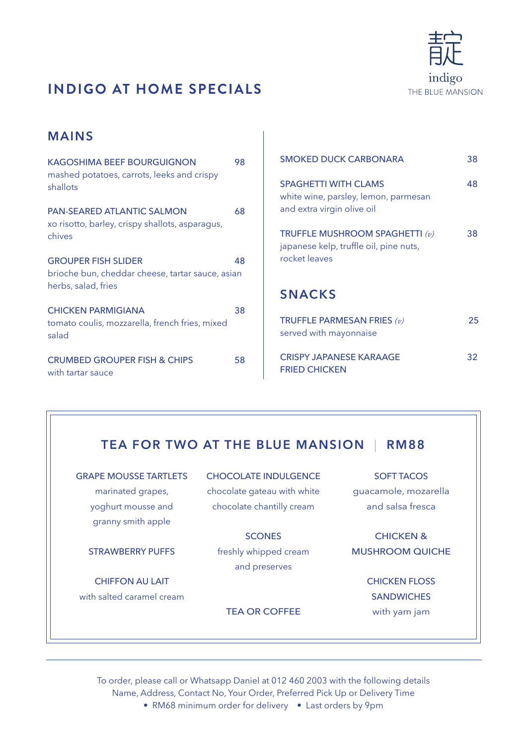

# **INDIGO AT HOME SPECIALS**

### **MAINS**

| <b>KAGOSHIMA BEEF BOURGUIGNON</b><br>mashed potatoes, carrots, leeks and crispy<br>shallots           | 98 |
|-------------------------------------------------------------------------------------------------------|----|
| <b>PAN-SEARED ATLANTIC SALMON</b><br>xo risotto, barley, crispy shallots, asparagus,<br>chives        | 68 |
| <b>GROUPER FISH SLIDER</b><br>brioche bun, cheddar cheese, tartar sauce, asian<br>herbs, salad, fries | 48 |
| <b>CHICKEN PARMIGIANA</b><br>tomato coulis, mozzarella, french fries, mixed<br>salad                  | 38 |
| <b>CRUMBED GROUPER FISH &amp; CHIPS</b><br>with tartar sauce                                          | 58 |

| <b>SMOKED DUCK CARBONARA</b>                                                                      | 38 |
|---------------------------------------------------------------------------------------------------|----|
| <b>SPAGHETTI WITH CLAMS</b><br>white wine, parsley, lemon, parmesan<br>and extra virgin olive oil | 48 |
| TRUFFLE MUSHROOM SPAGHETTI $(v)$<br>japanese kelp, truffle oil, pine nuts,<br>rocket leaves       | 38 |
| <b>SNACKS</b>                                                                                     |    |
| TRUFFLE PARMESAN FRIES $(v)$<br>served with mayonnaise                                            | 25 |

CRISPY JAPANESE KARAAGE 32

## **TEA FOR TWO AT THE BLUE MANSION** | **RM88**

FRIED CHICKEN

GRAPE MOUSSE TARTLETS marinated grapes, yoghurt mousse and granny smith apple

STRAWBERRY PUFFS

CHIFFON AU LAIT with salted caramel cream CHOCOLATE INDULGENCE chocolate gateau with white chocolate chantilly cream

**SCONES** freshly whipped cream and preserves

#### TEA OR COFFEE

SOFT TACOS guacamole, mozarella and salsa fresca

CHICKEN & MUSHROOM QUICHE

> CHICKEN FLOSS **SANDWICHES** with yam jam

To order, please call or Whatsapp Daniel at 012 460 2003 with the following details Name, Address, Contact No, Your Order, Preferred Pick Up or Delivery Time

• RM68 minimum order for delivery • Last orders by 9pm